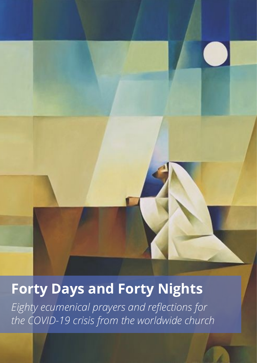**Forty Days and Forty Nights**

*Eighty ecumenical prayers and reflections for the COVID-19 crisis from the worldwide church*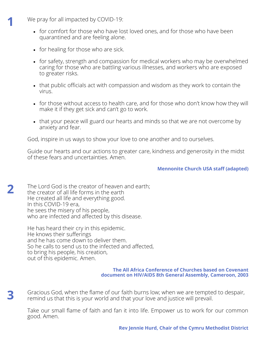We pray for all impacted by COVID-19:

- for comfort for those who have lost loved ones, and for those who have been quarantined and are feeling alone.
- for healing for those who are sick.
- for safety, strength and compassion for medical workers who may be overwhelmed caring for those who are battling various illnesses, and workers who are exposed to greater risks.
- that public officials act with compassion and wisdom as they work to contain the virus.
- for those without access to health care, and for those who don't know how they will make it if they get sick and can't go to work.
- that your peace will guard our hearts and minds so that we are not overcome by anxiety and fear.

God, inspire in us ways to show your love to one another and to ourselves.

Guide our hearts and our actions to greater care, kindness and generosity in the midst of these fears and uncertainties. Amen.

# **Mennonite Church USA staff (adapted)**

The Lord God is the creator of heaven and earth; the creator of all life forms in the earth He created all life and everything good. In this COVID-19 era, he sees the misery of his people, who are infected and affected by this disease.

He has heard their cry in this epidemic. He knows their sufferings and he has come down to deliver them. So he calls to send us to the infected and affected, to bring his people, his creation, out of this epidemic. Amen.

## **The All Africa Conference of Churches based on Covenant document on HIV/AIDS 8th General Assembly, Cameroon, 2003**

Gracious God, when the flame of our faith burns low; when we are tempted to despair, remind us that this is your world and that your love and justice will prevail.

Take our small flame of faith and fan it into life. Empower us to work for our common good. Amen.

**3**

**1**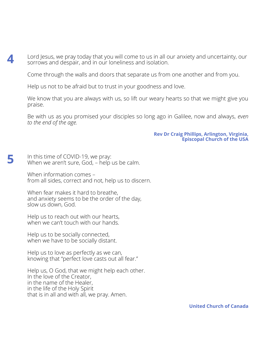Lord Jesus, we pray today that you will come to us in all our anxiety and uncertainty, our sorrows and despair, and in our loneliness and isolation.

Come through the walls and doors that separate us from one another and from you.

Help us not to be afraid but to trust in your goodness and love.

We know that you are always with us, so lift our weary hearts so that we might give you praise.

Be with us as you promised your disciples so long ago in Galilee, now and always, *even to the end of the age.*

> **Rev Dr Craig Phillips, Arlington, Virginia, Episcopal Church of the USA**

In this time of COVID-19, we pray: When we aren't sure, God, – help us be calm.

**4**

**5**

When information comes – from all sides, correct and not, help us to discern.

When fear makes it hard to breathe, and anxiety seems to be the order of the day, slow us down, God.

Help us to reach out with our hearts, when we can't touch with our hands.

Help us to be socially connected, when we have to be socially distant.

Help us to love as perfectly as we can, knowing that "perfect love casts out all fear."

Help us, O God, that we might help each other. In the love of the Creator, in the name of the Healer, in the life of the Holy Spirit that is in all and with all, we pray. Amen.

**United Church of Canada**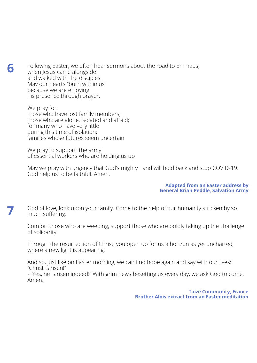Following Easter, we often hear sermons about the road to Emmaus, when Jesus came alongside and walked with the disciples. May our hearts "burn within us" because we are enjoying his presence through prayer.

We pray for: those who have lost family members; those who are alone, isolated and afraid; for many who have very little during this time of isolation; families whose futures seem uncertain.

**6**

**7**

We pray to support the army of essential workers who are holding us up

May we pray with urgency that God's mighty hand will hold back and stop COVID-19. God help us to be faithful. Amen.

### **Adapted from an Easter address by General Brian Peddle, Salvation Army**

God of love, look upon your family. Come to the help of our humanity stricken by so much suffering.

Comfort those who are weeping, support those who are boldly taking up the challenge of solidarity.

Through the resurrection of Christ, you open up for us a horizon as yet uncharted, where a new light is appearing.

And so, just like on Easter morning, we can find hope again and say with our lives: "Christ is risen!"

- "Yes, he is risen indeed!" With grim news besetting us every day, we ask God to come. Amen.

> **Taizé Community, France Brother Alois extract from an Easter meditation**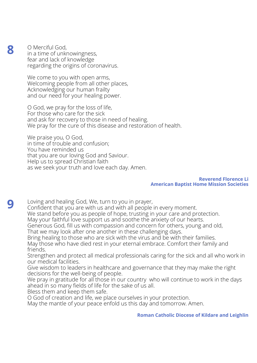O Merciful God, in a time of unknowingness, fear and lack of knowledge regarding the origins of coronavirus.

We come to you with open arms, Welcoming people from all other places, Acknowledging our human frailty and our need for your healing power.

O God, we pray for the loss of life, For those who care for the sick and ask for recovery to those in need of healing. We pray for the cure of this disease and restoration of health.

We praise you, O God, in time of trouble and confusion; You have reminded us that you are our loving God and Saviour. Help us to spread Christian faith as we seek your truth and love each day. Amen.

## **Reverend Florence Li American Baptist Home Mission Societies**

**9**

**8**

Loving and healing God, We, turn to you in prayer, Confident that you are with us and with all people in every moment. We stand before you as people of hope, trusting in your care and protection. May your faithful love support us and soothe the anxiety of our hearts. Generous God, fill us with compassion and concern for others, young and old, That we may look after one another in these challenging days. Bring healing to those who are sick with the virus and be with their families.

May those who have died rest in your eternal embrace. Comfort their family and friends.

Strengthen and protect all medical professionals caring for the sick and all who work in our medical facilities.

Give wisdom to leaders in healthcare and governance that they may make the right decisions for the well-being of people.

We pray in gratitude for all those in our country who will continue to work in the days ahead in so many fields of life for the sake of us all.

Bless them and keep them safe.

O God of creation and life, we place ourselves in your protection.

May the mantle of your peace enfold us this day and tomorrow. Amen.

**Roman Catholic Diocese of Kildare and Leighlin**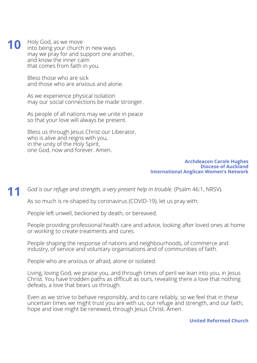Holy God, as we move into being your church in new ways may we pray for and support one another, and know the inner calm that comes from faith in you. **10**

> Bless those who are sick and those who are anxious and alone.

As we experience physical isolation may our social connections be made stronger.

As people of all nations may we unite in peace so that your love will always be present.

Bless us through Jesus Christ our Liberator, who is alive and reigns with you, in the unity of the Holy Spirit, one God, now and forever. Amen.

### **Archdeacon Carole Hughes Diocese of Auckland International Anglican Women's Network**

*God is our refuge and strength, a very present help in trouble.* (Psalm 46:1, NRSV). **11**

As so much is re-shaped by coronavirus (COVID-19), let us pray with:

People left unwell, beckoned by death, or bereaved.

People providing professional health care and advice, looking after loved ones at home or working to create treatments and cures.

People shaping the response of nations and neighbourhoods, of commerce and industry, of service and voluntary organisations and of communities of faith.

People who are anxious or afraid, alone or isolated.

Living, loving God, we praise you, and through times of peril we lean into you, in Jesus Christ. You have trodden paths as difficult as ours, revealing there a love that nothing defeats, a love that bears us through.

Even as we strive to behave responsibly, and to care reliably, so we feel that in these uncertain times we might trust you are with us, our refuge and strength, and our faith, hope and love might be renewed, through Jesus Christ. Amen.

**United Reformed Church**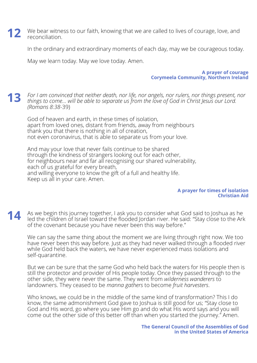**12** We bear witness to our faith, knowing that we are called to lives of courage, love, and reconciliation. reconciliation.

In the ordinary and extraordinary moments of each day, may we be courageous today.

May we learn today. May we love today. Amen.

**A prayer of courage Corymeela Community, Northern Ireland**

*For I am convinced that neither death, nor life, nor angels, nor rulers, nor things present, nor things to come… will be able to separate us from the love of God in Christ Jesus our Lord. (Romans 8:38-*39) **13**

God of heaven and earth, in these times of isolation, apart from loved ones, distant from friends, away from neighbours thank you that there is nothing in all of creation, not even coronavirus, that is able to separate us from your love.

And may your love that never fails continue to be shared through the kindness of strangers looking out for each other, for neighbours near and far all recognising our shared vulnerability, each of us grateful for every breath, and willing everyone to know the gift of a full and healthy life. Keep us all in your care. Amen.

### **A prayer for times of isolation Christian Aid**

As we begin this journey together, I ask you to consider what God said to Joshua as he led the children of Israel toward the flooded Jordan river. He said: "Stay close to the Ark of the covenant because you have never been this way before." **14**

We can say the same thing about the moment we are living through right now. We too have never been this way before. Just as they had never walked through a flooded river while God held back the waters, we have never experienced mass isolations and self-quarantine.

But we can be sure that the same God who held back the waters for His people then is still the protector and provider of His people today. Once they passed through to the other side, they were never the same. They went from *wilderness wanderers* to landowners. They ceased to be *manna gathers* to become *fruit harvesters*.

Who knows, we could be in the middle of the same kind of transformation? This I do know, the same admonishment God gave to Joshua is still good for us; "Stay close to God and His word, go where you see Him go and do what His word says and you will come out the other side of this better off than when you started the journey." Amen.

> **The General Council of the Assemblies of God in the United States of America**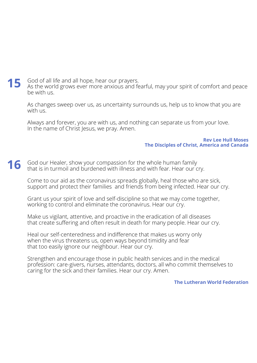God of all life and all hope, hear our prayers. As the world grows ever more anxious and fearful, may your spirit of comfort and peace be with us. **15**

As changes sweep over us, as uncertainty surrounds us, help us to know that you are with us.

Always and forever, you are with us, and nothing can separate us from your love. In the name of Christ Jesus, we pray. Amen.

### **Rev Lee Hull Moses The Disciples of Christ, America and Canada**

#### God our Healer, show your compassion for the whole human family that is in turmoil and burdened with illness and with fear. Hear our cry. **16**

Come to our aid as the coronavirus spreads globally, heal those who are sick, support and protect their families and friends from being infected. Hear our cry.

Grant us your spirit of love and self-discipline so that we may come together, working to control and eliminate the coronavirus. Hear our cry.

Make us vigilant, attentive, and proactive in the eradication of all diseases that create suffering and often result in death for many people. Hear our cry.

Heal our self-centeredness and indifference that makes us worry only when the virus threatens us, open ways beyond timidity and fear that too easily ignore our neighbour. Hear our cry.

Strengthen and encourage those in public health services and in the medical profession: care-givers, nurses, attendants, doctors, all who commit themselves to caring for the sick and their families. Hear our cry. Amen.

## **The Lutheran World Federation**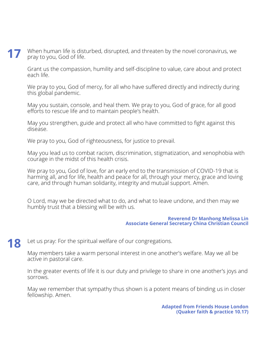When human life is disturbed, disrupted, and threaten by the novel coronavirus, we pray to you, God of life. **17**

Grant us the compassion, humility and self-discipline to value, care about and protect each life.

We pray to you, God of mercy, for all who have suffered directly and indirectly during this global pandemic.

May you sustain, console, and heal them. We pray to you, God of grace, for all good efforts to rescue life and to maintain people's health.

May you strengthen, guide and protect all who have committed to fight against this disease.

We pray to you, God of righteousness, for justice to prevail.

May you lead us to combat racism, discrimination, stigmatization, and xenophobia with courage in the midst of this health crisis.

We pray to you, God of love, for an early end to the transmission of COVID-19 that is harming all, and for life, health and peace for all, through your mercy, grace and loving care, and through human solidarity, integrity and mutual support. Amen.

O Lord, may we be directed what to do, and what to leave undone, and then may we humbly trust that a blessing will be with us.

## **Reverend Dr Manhong Melissa Lin Associate General Secretary China Christian Council**

Let us pray: For the spiritual welfare of our congregations. **18**

> May members take a warm personal interest in one another's welfare. May we all be active in pastoral care.

In the greater events of life it is our duty and privilege to share in one another's joys and sorrows.

May we remember that sympathy thus shown is a potent means of binding us in closer fellowship. Amen.

> **Adapted from Friends House London (Quaker faith & practice 10.17)**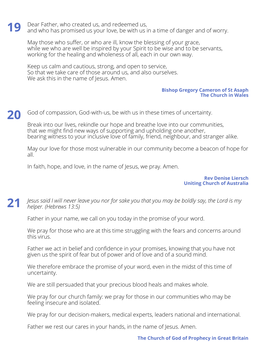Dear Father, who created us, and redeemed us, and who has promised us your love, be with us in a time of danger and of worry. **19**

May those who suffer, or who are ill, know the blessing of your grace, way those this sensel, so this single by your Spirit to be wise and to be servants, working for the healing and wholeness of all, each in our own way.

Keep us calm and cautious, strong, and open to service, So that we take care of those around us, and also ourselves. We ask this in the name of Jesus. Amen.

## **Bishop Gregory Cameron of St Asaph The Church in Wales**

God of compassion, God-with-us, be with us in these times of uncertainty. **20**

Break into our lives, rekindle our hope and breathe love into our communities, that we might find new ways of supporting and upholding one another, bearing witness to your inclusive love of family, friend, neighbour, and stranger alike.

May our love for those most vulnerable in our community become a beacon of hope for all.

In faith, hope, and love, in the name of Jesus, we pray. Amen.

**Rev Denise Liersch Uniting Church of Australia**

*Jesus said I will never leave you nor for sake you that you may be boldly say, the Lord is my helper. (Hebrews 13:5)* **21**

Father in your name, we call on you today in the promise of your word.

We pray for those who are at this time struggling with the fears and concerns around this virus.

Father we act in belief and confidence in your promises, knowing that you have not given us the spirit of fear but of power and of love and of a sound mind.

We therefore embrace the promise of your word, even in the midst of this time of uncertainty.

We are still persuaded that your precious blood heals and makes whole.

We pray for our church family: we pray for those in our communities who may be feeling insecure and isolated.

We pray for our decision-makers, medical experts, leaders national and international.

Father we rest our cares in your hands, in the name of Jesus. Amen.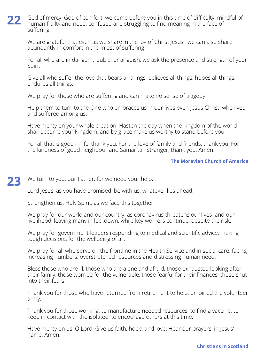God of mercy, God of comfort, we come before you in this time of difficulty, mindful of human frailty and need, confused and struggling to find meaning in the face of suffering. **22**

We are grateful that even as we share in the joy of Christ Jesus, we can also share abundantly in comfort in the midst of suffering.

For all who are in danger, trouble, or anguish, we ask the presence and strength of your Spirit.

Give all who suffer the love that bears all things, believes all things, hopes all things, endures all things.

We pray for those who are suffering and can make no sense of tragedy.

Help them to turn to the One who embraces us in our lives even Jesus Christ, who lived and suffered among us.

Have mercy on your whole creation. Hasten the day when the kingdom of the world shall become your Kingdom, and by grace make us worthy to stand before you.

For all that is good in life, thank you, For the love of family and friends, thank you, For the kindness of good neighbour and Samaritan stranger, thank you. Amen.

# **The Moravian Church of America**

We turn to you, our Father, for we need your help. **23**

Lord Jesus, as you have promised, be with us, whatever lies ahead.

Strengthen us, Holy Spirit, as we face this together.

We pray for our world and our country, as coronavirus threatens our lives and our livelihood, leaving many in lockdown, while key workers continue, despite the risk.

We pray for government leaders responding to medical and scientific advice, making tough decisions for the wellbeing of all.

We pray for all who serve on the frontline in the Health Service and in social care; facing increasing numbers, overstretched resources and distressing human need.

Bless those who are ill, those who are alone and afraid, those exhausted looking after their family, those worried for the vulnerable, those fearful for their finances, those shut into their fears.

Thank you for those who have returned from retirement to help, or joined the volunteer army.

Thank you for those working: to manufacture needed resources, to find a vaccine, to keep in contact with the isolated, to encourage others at this time.

Have mercy on us, O Lord. Give us faith, hope, and love. Hear our prayers, in Jesus' name. Amen.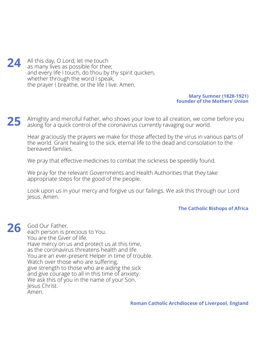All this day, O Lord, let me touch as many lives as possible for thee; and every life I touch, do thou by thy spirit quicken, whether through the word I speak, the prayer I breathe, or the life I live. Amen. **24**

## **Mary Sumner (1828-1921) founder of the Mothers' Union**

Almighty and merciful Father, who shows your love to all creation, we come before you asking for a quick control of the coronavirus currently ravaging our world. **25**

Hear graciously the prayers we make for those affected by the virus in various parts of the world. Grant healing to the sick, eternal life to the dead and consolation to the bereaved families.

We pray that effective medicines to combat the sickness be speedily found.

We pray for the relevant Governments and Health Authorities that they take appropriate steps for the good of the people.

Look upon us in your mercy and forgive us our failings. We ask this through our Lord Jesus. Amen.

**The Catholic Bishops of Africa**

God Our Father, each person is precious to You. You are the Giver of life. Have mercy on us and protect us at this time, as the coronavirus threatens health and life. You are an ever-present Helper in time of trouble. Watch over those who are suffering, give strength to those who are aiding the sick and give courage to all in this time of anxiety. We ask this of you in the name of your Son. Jesus Christ. Amen. **26**

**Roman Catholic Archdiocese of Liverpool, England**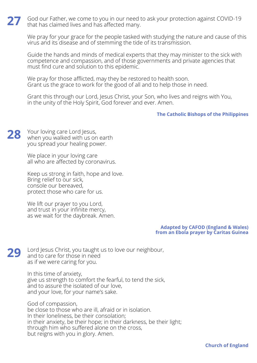God our Father, we come to you in our need to ask your protection against COVID-19 that has claimed lives and has affected many. **27**

We pray for your grace for the people tasked with studying the nature and cause of this virus and its disease and of stemming the tide of its transmission.

Guide the hands and minds of medical experts that they may minister to the sick with competence and compassion, and of those governments and private agencies that must find cure and solution to this epidemic.

We pray for those afflicted, may they be restored to health soon. Grant us the grace to work for the good of all and to help those in need.

Grant this through our Lord, Jesus Christ, your Son, who lives and reigns with You, in the unity of the Holy Spirit, God forever and ever. Amen.

**The Catholic Bishops of the Philippines**

Your loving care Lord Jesus, when you walked with us on earth you spread your healing power. **28**

> We place in your loving care all who are affected by coronavirus.

Keep us strong in faith, hope and love. Bring relief to our sick, console our bereaved, protect those who care for us.

We lift our prayer to you Lord, and trust in your infinite mercy, as we wait for the daybreak. Amen.

> **Adapted by CAFOD (England & Wales) from an Ebola prayer by Caritas Guinea**

Lord Jesus Christ, you taught us to love our neighbour, and to care for those in need as if we were caring for you. **29**

> In this time of anxiety, give us strength to comfort the fearful, to tend the sick, and to assure the isolated of our love, and your love, for your name's sake.

God of compassion, be close to those who are ill, afraid or in isolation. In their loneliness, be their consolation; in their anxiety, be their hope; in their darkness, be their light; through him who suffered alone on the cross, but reigns with you in glory. Amen.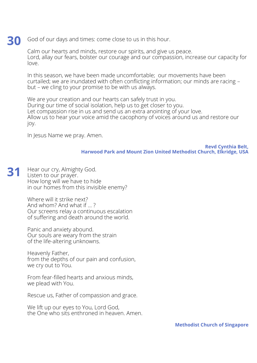#### God of our days and times: come close to us in this hour. **30**

Calm our hearts and minds, restore our spirits, and give us peace. Lord, allay our fears, bolster our courage and our compassion, increase our capacity for love.

In this season, we have been made uncomfortable; our movements have been curtailed; we are inundated with often conflicting information; our minds are racing – but – we cling to your promise to be with us always.

We are your creation and our hearts can safely trust in you. During our time of social isolation, help us to get closer to you. Let compassion rise in us and send us an extra anointing of your love. Allow us to hear your voice amid the cacophony of voices around us and restore our joy.

In Jesus Name we pray. Amen.

**Revd Cynthia Belt, Harwood Park and Mount Zion United Methodist Church, Elkridge, USA**

Hear our cry, Almighty God. Listen to our prayer. How long will we have to hide in our homes from this invisible enemy? **31**

> Where will it strike next? And whom? And what if … ? Our screens relay a continuous escalation of suffering and death around the world.

Panic and anxiety abound. Our souls are weary from the strain of the life-altering unknowns.

Heavenly Father, from the depths of our pain and confusion, we cry out to You.

From fear-filled hearts and anxious minds, we plead with You.

Rescue us, Father of compassion and grace.

We lift up our eyes to You, Lord God, the One who sits enthroned in heaven. Amen.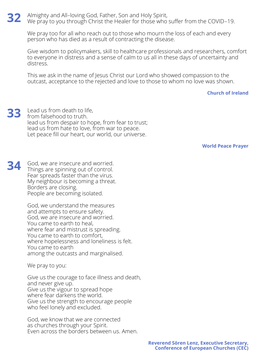Almighty and All–loving God, Father, Son and Holy Spirit, We pray to you through Christ the Healer for those who suffer from the COVID–19. **32**

We pray too for all who reach out to those who mourn the loss of each and every person who has died as a result of contracting the disease.

Give wisdom to policymakers, skill to healthcare professionals and researchers, comfort to everyone in distress and a sense of calm to us all in these days of uncertainty and distress.

This we ask in the name of Jesus Christ our Lord who showed compassion to the outcast, acceptance to the rejected and love to those to whom no love was shown.

## **Church of Ireland**

Lead us from death to life, from falsehood to truth. lead us from despair to hope, from fear to trust; lead us from hate to love, from war to peace. Let peace fill our heart, our world, our universe. **33**

**World Peace Prayer**

God, we are insecure and worried. Things are spinning out of control. Fear spreads faster than the virus. My neighbour is becoming a threat. Borders are closing. People are becoming isolated. **34**

> God, we understand the measures and attempts to ensure safety. God, we are insecure and worried. You came to earth to heal, where fear and mistrust is spreading. You came to earth to comfort, where hopelessness and loneliness is felt. You came to earth among the outcasts and marginalised.

We pray to you:

Give us the courage to face illness and death, and never give up. Give us the vigour to spread hope where fear darkens the world. Give us the strength to encourage people who feel lonely and excluded.

God, we know that we are connected as churches through your Spirit. Even across the borders between us. Amen.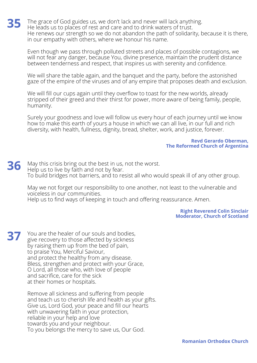The grace of God guides us, we don't lack and never will lack anything. He leads us to places of rest and care and to drink waters of trust. He renews our strength so we do not abandon the path of solidarity, because it is there, in our empathy with others, where we honour his name. **35**

Even though we pass through polluted streets and places of possible contagions, we will not fear any danger, because You, divine presence, maintain the prudent distance between tenderness and respect, that inspires us with serenity and confidence.

We will share the table again, and the banquet and the party, before the astonished gaze of the empire of the viruses and of any empire that proposes death and exclusion.

We will fill our cups again until they overflow to toast for the new worlds, already stripped of their greed and their thirst for power, more aware of being family, people, humanity.

Surely your goodness and love will follow us every hour of each journey until we know how to make this earth of yours a house in which we can all live, in our full and rich diversity, with health, fullness, dignity, bread, shelter, work, and justice, forever.

### **Revd Gerardo Oberman, The Reformed Church of Argentina**

May this crisis bring out the best in us, not the worst. Help us to live by faith and not by fear. To build bridges not barriers, and to resist all who would speak ill of any other group. **36**

May we not forget our responsibility to one another, not least to the vulnerable and voiceless in our communities.

Help us to find ways of keeping in touch and offering reassurance. Amen.

**Right Reverend Colin Sinclair Moderator, Church of Scotland**

You are the healer of our souls and bodies, give recovery to those affected by sickness by raising them up from the bed of pain, to praise You, Merciful Saviour, and protect the healthy from any disease. Bless, strengthen and protect with your Grace, O Lord, all those who, with love of people and sacrifice, care for the sick at their homes or hospitals. **37**

> Remove all sickness and suffering from people and teach us to cherish life and health as your gifts. Give us, Lord God, your peace and fill our hearts with unwavering faith in your protection, reliable in your help and love towards you and your neighbour. To you belongs the mercy to save us, Our God.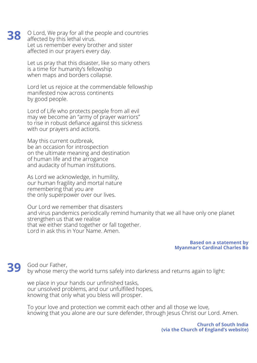O Lord, We pray for all the people and countries affected by this lethal virus. Let us remember every brother and sister affected in our prayers every day.

Let us pray that this disaster, like so many others is a time for humanity's fellowship when maps and borders collapse.

Lord let us rejoice at the commendable fellowship manifested now across continents by good people.

Lord of Life who protects people from all evil may we become an "army of prayer warriors" to rise in robust defiance against this sickness with our prayers and actions.

May this current outbreak, be an occasion for introspection on the ultimate meaning and destination of human life and the arrogance and audacity of human institutions.

As Lord we acknowledge, in humility, our human fragility and mortal nature remembering that you are the only superpower over our lives.

Our Lord we remember that disasters and virus pandemics periodically remind humanity that we all have only one planet strengthen us that we realise that we either stand together or fall together. Lord in ask this in Your Name. Amen.

> **Based on a statement by Myanmar's Cardinal Charles Bo**

God our Father, by whose mercy the world turns safely into darkness and returns again to light: **39**

we place in your hands our unfinished tasks, our unsolved problems, and our unfulfilled hopes, knowing that only what you bless will prosper.

To your love and protection we commit each other and all those we love, knowing that you alone are our sure defender, through Jesus Christ our Lord. Amen.

> **Church of South India (via the Church of England's website)**

**38**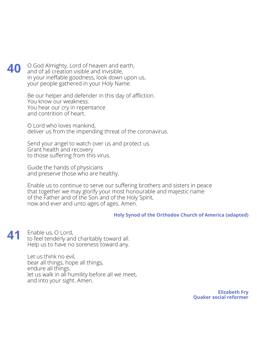### O God Almighty, Lord of heaven and earth, and of all creation visible and invisible, in your ineffable goodness, look down upon us, your people gathered in your Holy Name. **40**

Be our helper and defender in this day of affliction. You know our weakness. You hear our cry in repentance and contrition of heart.

O Lord who loves mankind, deliver us from the impending threat of the coronavirus.

Send your angel to watch over us and protect us. Grant health and recovery to those suffering from this virus.

Guide the hands of physicians and preserve those who are healthy.

Enable us to continue to serve our suffering brothers and sisters in peace that together we may glorify your most honourable and majestic name of the Father and of the Son and of the Holy Spirit, now and ever and unto ages of ages. Amen.

# **Holy Synod of the Orthodox Church of America (adapted)**

Enable us, O Lord, to feel tenderly and charitably toward all. Help us to have no soreness toward any. **41**

> Let us think no evil, bear all things, hope all things, endure all things. let us walk in all humility before all we meet, and into your sight. Amen.

> > **Elizabeth Fry Quaker social reformer**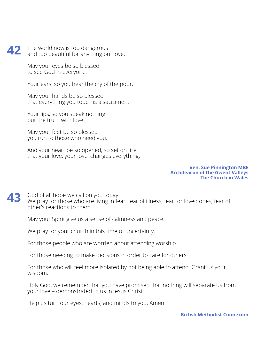#### The world now is too dangerous and too beautiful for anything but love. **42**

May your eyes be so blessed to see God in everyone.

Your ears, so you hear the cry of the poor.

May your hands be so blessed that everything you touch is a sacrament.

Your lips, so you speak nothing but the truth with love.

May your feet be so blessed you run to those who need you.

And your heart be so opened, so set on fire, that your love, your love, changes everything.

### **Ven. Sue Pinnington MBE Archdeacon of the Gwent Valleys The Church in Wales**

God of all hope we call on you today. We pray for those who are living in fear: fear of illness, fear for loved ones, fear of other's reactions to them. **43**

May your Spirit give us a sense of calmness and peace.

We pray for your church in this time of uncertainty.

For those people who are worried about attending worship.

For those needing to make decisions in order to care for others

For those who will feel more isolated by not being able to attend. Grant us your wisdom.

Holy God, we remember that you have promised that nothing will separate us from your love – demonstrated to us in Jesus Christ.

Help us turn our eyes, hearts, and minds to you. Amen.

**British Methodist Connexion**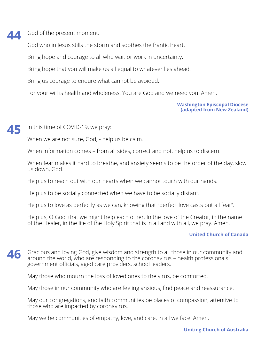#### God of the present moment. **44**

God who in Jesus stills the storm and soothes the frantic heart.

Bring hope and courage to all who wait or work in uncertainty.

Bring hope that you will make us all equal to whatever lies ahead.

Bring us courage to endure what cannot be avoided.

For your will is health and wholeness. You are God and we need you. Amen.

**Washington Episcopal Diocese (adapted from New Zealand)**

#### In this time of COVID-19, we pray: **45**

When we are not sure, God, - help us be calm.

When information comes – from all sides, correct and not, help us to discern.

When fear makes it hard to breathe, and anxiety seems to be the order of the day, slow us down, God.

Help us to reach out with our hearts when we cannot touch with our hands.

Help us to be socially connected when we have to be socially distant.

Help us to love as perfectly as we can, knowing that "perfect love casts out all fear".

Help us, O God, that we might help each other. In the love of the Creator, in the name of the Healer, in the life of the Holy Spirit that is in all and with all, we pray. Amen.

# **United Church of Canada**

Gracious and loving God, give wisdom and strength to all those in our community and around the world, who are responding to the coronavirus – health professionals government officials, aged care providers, school leaders. **46**

May those who mourn the loss of loved ones to the virus, be comforted.

May those in our community who are feeling anxious, find peace and reassurance.

May our congregations, and faith communities be places of compassion, attentive to those who are impacted by coronavirus.

May we be communities of empathy, love, and care, in all we face. Amen.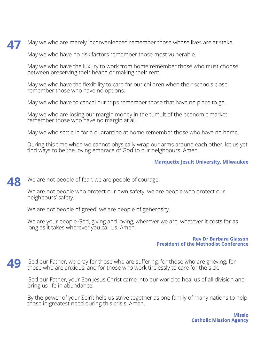May we who are merely inconvenienced remember those whose lives are at stake. **47**

May we who have no risk factors remember those most vulnerable.

May we who have the luxury to work from home remember those who must choose between preserving their health or making their rent.

May we who have the flexibility to care for our children when their schools close remember those who have no options.

May we who have to cancel our trips remember those that have no place to go.

May we who are losing our margin money in the tumult of the economic market remember those who have no margin at all.

May we who settle in for a quarantine at home remember those who have no home.

During this time when we cannot physically wrap our arms around each other, let us yet find ways to be the loving embrace of God to our neighbours. Amen.

# **Marquette Jesuit University, Milwaukee**

We are not people of fear: we are people of courage. **48**

> We are not people who protect our own safety: we are people who protect our neighbours' safety.

We are not people of greed: we are people of generosity.

We are your people God, giving and loving, wherever we are, whatever it costs for as long as it takes wherever you call us. Amen.

### **Rev Dr Barbara Glasson President of the Methodist Conference**

God our Father, we pray for those who are suffering, for those who are grieving, for those who are anxious, and for those who work tirelessly to care for the sick. **49**

God our Father, your Son Jesus Christ came into our world to heal us of all division and bring us life in abundance.

By the power of your Spirit help us strive together as one family of many nations to help those in greatest need during this crisis. Amen.

> **Missio Catholic Mission Agency**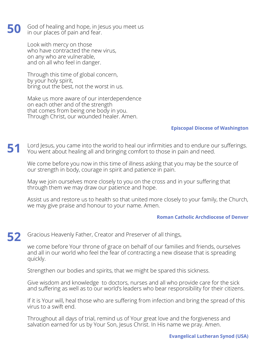God of healing and hope, in Jesus you meet us in our places of pain and fear. **50**

> Look with mercy on those who have contracted the new virus, on any who are vulnerable, and on all who feel in danger.

Through this time of global concern, by your holy spirit, bring out the best, not the worst in us.

Make us more aware of our interdependence on each other and of the strength that comes from being one body in you. Through Christ, our wounded healer. Amen.

## **Episcopal Diocese of Washington**

Lord Jesus, you came into the world to heal our infirmities and to endure our sufferings. You went about healing all and bringing comfort to those in pain and need. **51**

We come before you now in this time of illness asking that you may be the source of our strength in body, courage in spirit and patience in pain.

May we join ourselves more closely to you on the cross and in your suffering that through them we may draw our patience and hope.

Assist us and restore us to health so that united more closely to your family, the Church, we may give praise and honour to your name. Amen.

## **Roman Catholic Archdiocese of Denver**

#### Gracious Heavenly Father, Creator and Preserver of all things, **52**

we come before Your throne of grace on behalf of our families and friends, ourselves and all in our world who feel the fear of contracting a new disease that is spreading quickly.

Strengthen our bodies and spirits, that we might be spared this sickness.

Give wisdom and knowledge to doctors, nurses and all who provide care for the sick and suffering as well as to our world's leaders who bear responsibility for their citizens.

If it is Your will, heal those who are suffering from infection and bring the spread of this virus to a swift end.

Throughout all days of trial, remind us of Your great love and the forgiveness and salvation earned for us by Your Son, Jesus Christ. In His name we pray. Amen.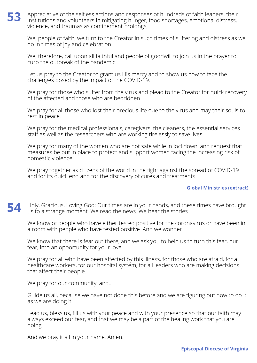### Appreciative of the selfless actions and responses of hundreds of faith leaders, their Institutions and volunteers in mitigating hunger, food shortages, emotional distress, violence, and traumas as confinement prolongs, **53**

We, people of faith, we turn to the Creator in such times of suffering and distress as we do in times of joy and celebration.

We, therefore, call upon all faithful and people of goodwill to join us in the prayer to curb the outbreak of the pandemic.

Let us pray to the Creator to grant us His mercy and to show us how to face the challenges posed by the impact of the COVID-19.

We pray for those who suffer from the virus and plead to the Creator for quick recovery of the affected and those who are bedridden.

We pray for all those who lost their precious life due to the virus and may their souls to rest in peace.

We pray for the medical professionals, caregivers, the cleaners, the essential services staff as well as the researchers who are working tirelessly to save lives.

We pray for many of the women who are not safe while in lockdown, and request that measures be put in place to protect and support women facing the increasing risk of domestic violence.

We pray together as citizens of the world in the fight against the spread of COVID-19 and for its quick end and for the discovery of cures and treatments.

# **Global Ministries (extract)**

Holy, Gracious, Loving God; Our times are in your hands, and these times have brought us to a strange moment. We read the news. We hear the stories. **54**

We know of people who have either tested positive for the coronavirus or have been in a room with people who have tested positive. And we wonder.

We know that there is fear out there, and we ask you to help us to turn this fear, our fear, into an opportunity for your love.

We pray for all who have been affected by this illness, for those who are afraid, for all healthcare workers, for our hospital system, for all leaders who are making decisions that affect their people.

We pray for our community, and...

Guide us all, because we have not done this before and we are figuring out how to do it as we are doing it.

Lead us, bless us, fill us with your peace and with your presence so that our faith may always exceed our fear, and that we may be a part of the healing work that you are doing.

And we pray it all in your name. Amen.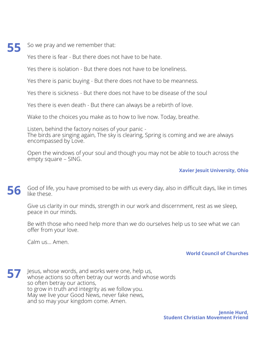So we pray and we remember that:

**55**

Yes there is fear - But there does not have to be hate.

Yes there is isolation - But there does not have to be loneliness.

Yes there is panic buying - But there does not have to be meanness.

Yes there is sickness - But there does not have to be disease of the soul

Yes there is even death - But there can always be a rebirth of love.

Wake to the choices you make as to how to live now. Today, breathe.

Listen, behind the factory noises of your panic -

The birds are singing again, The sky is clearing, Spring is coming and we are always encompassed by Love.

Open the windows of your soul and though you may not be able to touch across the empty square – SING.

# **Xavier Jesuit University, Ohio**

God of life, you have promised to be with us every day, also in difficult days, like in times like these. **56**

Give us clarity in our minds, strength in our work and discernment, rest as we sleep, peace in our minds.

Be with those who need help more than we do ourselves help us to see what we can offer from your love.

Calm us… Amen.

# **World Council of Churches**

Jesus, whose words, and works were one, help us, whose actions so often betray our words and whose words so often betray our actions, to grow in truth and integrity as we follow you. May we live your Good News, never fake news, and so may your kingdom come. Amen. **57**

> **Jennie Hurd, Student Christian Movement Friend**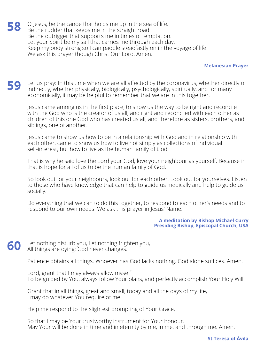O Jesus, be the canoe that holds me up in the sea of life. Be the rudder that keeps me in the straight road. Be the outrigger that supports me in times of temptation. Let your Spirit be my sail that carries me through each day. Keep my body strong so I can paddle steadfastly on in the voyage of life. We ask this prayer though Christ Our Lord. Amen. **58**

## **Melanesian Prayer**

Let us pray: In this time when we are all affected by the coronavirus, whether directly or indirectly, whether physically, biologically, psychologically, spiritually, and for many economically, it may be helpful to remember that we are in this together. **59**

Jesus came among us in the first place, to show us the way to be right and reconcile with the God who is the creator of us all, and right and reconciled with each other as children of this one God who has created us all, and therefore as sisters, brothers, and siblings, one of another.

Jesus came to show us how to be in a relationship with God and in relationship with each other, came to show us how to live not simply as collections of individual self-interest, but how to live as the human family of God.

That is why he said love the Lord your God, love your neighbour as yourself. Because in that is hope for all of us to be the human family of God.

So look out for your neighbours, look out for each other. Look out for yourselves. Listen to those who have knowledge that can help to guide us medically and help to guide us socially.

Do everything that we can to do this together, to respond to each other's needs and to respond to our own needs. We ask this prayer in Jesus' Name.

### **A meditation by Bishop Michael Curry Presiding Bishop, Episcopal Church, USA**

Let nothing disturb you, Let nothing frighten you, All things are dying: God never changes. **60**

Patience obtains all things. Whoever has God lacks nothing. God alone suffices. Amen.

Lord, grant that I may always allow myself To be guided by You, always follow Your plans, and perfectly accomplish Your Holy Will.

Grant that in all things, great and small, today and all the days of my life, I may do whatever You require of me.

Help me respond to the slightest prompting of Your Grace,

So that I may be Your trustworthy instrument for Your honour. May Your will be done in time and in eternity by me, in me, and through me. Amen.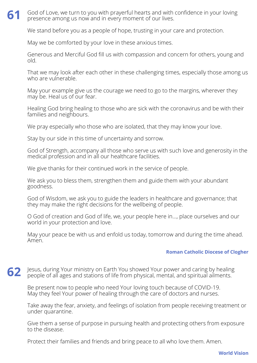### God of Love, we turn to you with prayerful hearts and with confidence in your loving presence among us now and in every moment of our lives. **61**

We stand before you as a people of hope, trusting in your care and protection.

May we be comforted by your love in these anxious times.

Generous and Merciful God fill us with compassion and concern for others, young and old.

That we may look after each other in these challenging times, especially those among us who are vulnerable.

May your example give us the courage we need to go to the margins, wherever they may be. Heal us of our fear.

Healing God bring healing to those who are sick with the coronavirus and be with their families and neighbours.

We pray especially who those who are isolated, that they may know your love.

Stay by our side in this time of uncertainty and sorrow.

God of Strength, accompany all those who serve us with such love and generosity in the medical profession and in all our healthcare facilities.

We give thanks for their continued work in the service of people.

We ask you to bless them, strengthen them and guide them with your abundant goodness.

God of Wisdom, we ask you to guide the leaders in healthcare and governance; that they may make the right decisions for the wellbeing of people.

O God of creation and God of life, we, your people here in…, place ourselves and our world in your protection and love.

May your peace be with us and enfold us today, tomorrow and during the time ahead. Amen.

# **Roman Catholic Diocese of Clogher**

Jesus, during Your ministry on Earth You showed Your power and caring by healing people of all ages and stations of life from physical, mental, and spiritual ailments. **62**

Be present now to people who need Your loving touch because of COVID-19. May they feel Your power of healing through the care of doctors and nurses.

Take away the fear, anxiety, and feelings of isolation from people receiving treatment or under quarantine.

Give them a sense of purpose in pursuing health and protecting others from exposure to the disease.

Protect their families and friends and bring peace to all who love them. Amen.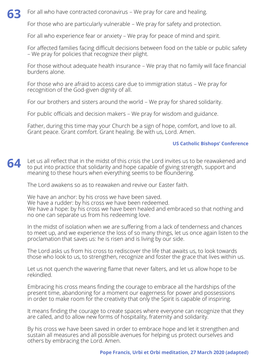

For those who are particularly vulnerable – We pray for safety and protection.

For all who experience fear or anxiety – We pray for peace of mind and spirit.

For affected families facing difficult decisions between food on the table or public safety – We pray for policies that recognize their plight.

For those without adequate health insurance – We pray that no family will face financial burdens alone.

For those who are afraid to access care due to immigration status – We pray for recognition of the God-given dignity of all.

For our brothers and sisters around the world – We pray for shared solidarity.

For public officials and decision makers – We pray for wisdom and guidance.

Father, during this time may your Church be a sign of hope, comfort, and love to all. Grant peace. Grant comfort. Grant healing. Be with us, Lord. Amen.

# **US Catholic Bishops' Conference**

Let us all reflect that in the midst of this crisis the Lord invites us to be reawakened and to put into practice that solidarity and hope capable of giving strength, support and meaning to these hours when everything seems to be floundering. **64**

The Lord awakens so as to reawaken and revive our Easter faith.

We have an anchor: by his cross we have been saved. We have a rudder: by his cross we have been redeemed. We have a hope: by his cross we have been healed and embraced so that nothing and no one can separate us from his redeeming love.

In the midst of isolation when we are suffering from a lack of tenderness and chances to meet up, and we experience the loss of so many things, let us once again listen to the proclamation that saves us: he is risen and is living by our side.

The Lord asks us from his cross to rediscover the life that awaits us, to look towards those who look to us, to strengthen, recognize and foster the grace that lives within us.

Let us not quench the wavering flame that never falters, and let us allow hope to be rekindled.

Embracing his cross means finding the courage to embrace all the hardships of the present time, abandoning for a moment our eagerness for power and possessions in order to make room for the creativity that only the Spirit is capable of inspiring.

It means finding the courage to create spaces where everyone can recognize that they are called, and to allow new forms of hospitality, fraternity and solidarity.

By his cross we have been saved in order to embrace hope and let it strengthen and sustain all measures and all possible avenues for helping us protect ourselves and others by embracing the Lord. Amen.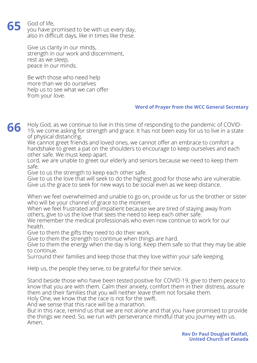### God of life, **65**

you have promised to be with us every day, also in difficult days, like in times like these.

Give us clarity in our minds, strength in our work and discernment, rest as we sleep, peace in our minds.

Be with those who need help more than we do ourselves help us to see what we can offer from your love.

## **Word of Prayer from the WCC General Secretary**

Holy God, as we continue to live in this time of responding to the pandemic of COVID-19, we come asking for strength and grace. It has not been easy for us to live in a state of physical distancing. **66**

We cannot greet friends and loved ones, we cannot offer an embrace to comfort a handshake to greet a pat on the shoulders to encourage to keep ourselves and each other safe. We must keep apart.

Lord, we are unable to greet our elderly and seniors because we need to keep them safe.

Give to us the strength to keep each other safe.

Give to us the love that will seek to do the highest good for those who are vulnerable. Give us the grace to seek for new ways to be social even as we keep distance.

When we feel overwhelmed and unable to go on, provide us for us the brother or sister who will be your channel of grace to the moment.

When we feel frustrated and impatient because we are tired of staying away from others, give to us the love that sees the need to keep each other safe.

We remember the medical professionals who even now continue to work for our health.

Give to them the gifts they need to do their work.

Give to them the strength to continue when things are hard.

Give to them the energy when the day is long. Keep them safe so that they may be able to continue.

Surround their families and keep those that they love within your safe keeping.

Help us, the people they serve, to be grateful for their service.

Stand beside those who have been tested positive for COVID-19, give to them peace to know that you are with them. Calm their anxiety, comfort them in their distress, assure them and their families that you will neither leave them not forsake them.

Holy One, we know that the race is not for the swift.

And we sense that this race will be a marathon.

But in this race, remind us that we are not alone and that you have promised to provide the things we need. So, we run with perseverance mindful that you journey with us. Amen.

> **Rev Dr Paul Douglas Walfall, United Church of Canada**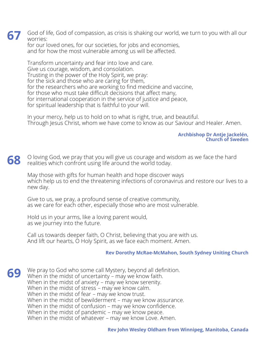God of life, God of compassion, as crisis is shaking our world, we turn to you with all our worries: **67**

for our loved ones, for our societies, for jobs and economies, and for how the most vulnerable among us will be affected.

Transform uncertainty and fear into love and care. Give us courage, wisdom, and consolation. Trusting in the power of the Holy Spirit, we pray: for the sick and those who are caring for them, for the researchers who are working to find medicine and vaccine, for those who must take difficult decisions that affect many, for international cooperation in the service of justice and peace, for spiritual leadership that is faithful to your will.

In your mercy, help us to hold on to what is right, true, and beautiful. Through Jesus Christ, whom we have come to know as our Saviour and Healer. Amen.

## **Archbishop Dr Antje Jackelén, Church of Sweden**

O loving God, we pray that you will give us courage and wisdom as we face the hard realities which confront using life around the world today. **68**

May those with gifts for human health and hope discover ways which help us to end the threatening infections of coronavirus and restore our lives to a new day.

Give to us, we pray, a profound sense of creative community, as we care for each other, especially those who are most vulnerable.

Hold us in your arms, like a loving parent would, as we journey into the future.

Call us towards deeper faith, O Christ, believing that you are with us. And lift our hearts, O Holy Spirit, as we face each moment. Amen.

# **Rev Dorothy McRae-McMahon, South Sydney Uniting Church**

We pray to God who some call Mystery, beyond all definition. When in the midst of uncertainty – may we know faith. When in the midst of anxiety – may we know serenity. When in the midst of stress – may we know calm. When in the midst of fear – may we know trust. When in the midst of bewilderment – may we know assurance. When in the midst of confusion – may we know confidence. When in the midst of pandemic – may we know peace. When in the midst of whatever – may we know Love. Amen. **69**

**Rev John Wesley Oldham from Winnipeg, Manitoba, Canada**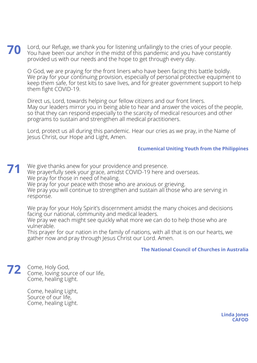Lord, our Refuge, we thank you for listening unfailingly to the cries of your people. You have been our anchor in the midst of this pandemic and you have constantly provided us with our needs and the hope to get through every day. **70**

O God, we are praying for the front liners who have been facing this battle boldly. We pray for your continuing provision, especially of personal protective equipment to keep them safe, for test kits to save lives, and for greater government support to help them fight COVID-19.

Direct us, Lord, towards helping our fellow citizens and our front liners. May our leaders mirror you in being able to hear and answer the voices of the people, so that they can respond especially to the scarcity of medical resources and other programs to sustain and strengthen all medical practitioners.

Lord, protect us all during this pandemic. Hear our cries as we pray, in the Name of Jesus Christ, our Hope and Light, Amen.

# **Ecumenical Uniting Youth from the Philippines**

We give thanks anew for your providence and presence. We prayerfully seek your grace, amidst COVID-19 here and overseas. We pray for those in need of healing. We pray for your peace with those who are anxious or grieving. We pray you will continue to strengthen and sustain all those who are serving in response. **71**

We pray for your Holy Spirit's discernment amidst the many choices and decisions facing our national, community and medical leaders.

We pray we each might see quickly what more we can do to help those who are vulnerable.

This prayer for our nation in the family of nations, with all that is on our hearts, we gather now and pray through Jesus Christ our Lord. Amen.

## **The National Council of Churches in Australia**

Come, Holy God, Come, loving source of our life, Come, healing Light. **72**

> Come, healing Light, Source of our life, Come, healing Light.

> > **Linda Jones CAFOD**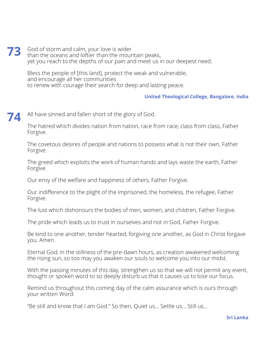God of storm and calm, your love is wider than the oceans and loftier than the mountain peaks, yet you reach to the depths of our pain and meet us in our deepest need. **73**

Bless the people of [this land], protect the weak and vulnerable, and encourage all her communities to renew with courage their search for deep and lasting peace.

## **United Theological College, Bangalore, India**

#### All have sinned and fallen short of the glory of God. **74**

The hatred which divides nation from nation, race from race, class from class, Father Forgive.

The covetous desires of people and nations to possess what is not their own, Father Forgive.

The greed which exploits the work of human hands and lays waste the earth, Father Forgive.

Our envy of the welfare and happiness of others, Father Forgive.

Our indifference to the plight of the imprisoned, the homeless, the refugee, Father Forgive.

The lust which dishonours the bodies of men, women, and children, Father Forgive.

The pride which leads us to trust in ourselves and not in God, Father Forgive.

Be kind to one another, tender hearted, forgiving one another, as God in Christ forgave you. Amen.

Eternal God, in the stillness of the pre-dawn hours, as creation awakened welcoming the rising sun, so too may you awaken our souls to welcome you into our midst.

With the passing minutes of this day, strengthen us so that we will not permit any event, thought or spoken word to so deeply disturb us that it causes us to lose our focus.

Remind us throughout this coming day of the calm assurance which is ours through your written Word:

"Be still and know that I am God." So then, Quiet us… Settle us… Still us…

### **Sri Lanka**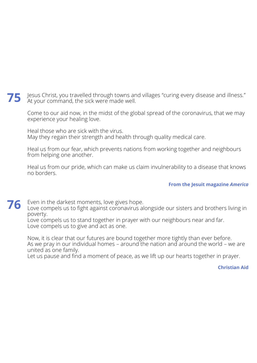Jesus Christ, you travelled through towns and villages "curing every disease and illness." At your command, the sick were made well. **75**

Come to our aid now, in the midst of the global spread of the coronavirus, that we may experience your healing love.

Heal those who are sick with the virus. May they regain their strength and health through quality medical care.

Heal us from our fear, which prevents nations from working together and neighbours from helping one another.

Heal us from our pride, which can make us claim invulnerability to a disease that knows no borders.

## **From the Jesuit magazine** *America*

Even in the darkest moments, love gives hope. **76**

Love compels us to fight against coronavirus alongside our sisters and brothers living in poverty.

Love compels us to stand together in prayer with our neighbours near and far. Love compels us to give and act as one.

Now, it is clear that our futures are bound together more tightly than ever before. As we pray in our individual homes – around the nation and around the world – we are united as one family.

Let us pause and find a moment of peace, as we lift up our hearts together in prayer.

## **Christian Aid**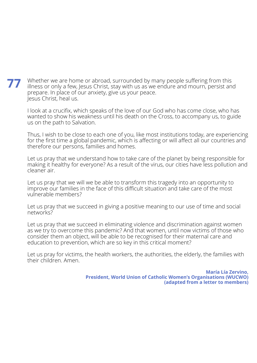Whether we are home or abroad, surrounded by many people suffering from this illness or only a few, Jesus Christ, stay with us as we endure and mourn, persist and prepare. In place of our anxiety, give us your peace. Jesus Christ, heal us. **77**

I look at a crucifix, which speaks of the love of our God who has come close, who has wanted to show his weakness until his death on the Cross, to accompany us, to guide us on the path to Salvation.

Thus, I wish to be close to each one of you, like most institutions today, are experiencing for the first time a global pandemic, which is affecting or will affect all our countries and therefore our persons, families and homes.

Let us pray that we understand how to take care of the planet by being responsible for making it healthy for everyone? As a result of the virus, our cities have less pollution and cleaner air.

Let us pray that we will we be able to transform this tragedy into an opportunity to improve our families in the face of this difficult situation and take care of the most vulnerable members?

Let us pray that we succeed in giving a positive meaning to our use of time and social networks?

Let us pray that we succeed in eliminating violence and discrimination against women as we try to overcome this pandemic? And that women, until now victims of those who consider them an object, will be able to be recognised for their maternal care and education to prevention, which are so key in this critical moment?

Let us pray for victims, the health workers, the authorities, the elderly, the families with their children. Amen.

> **María Lía Zervino, President, World Union of Catholic Women's Organisations (WUCWO) (adapted from a letter to members)**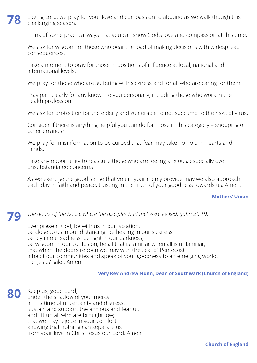#### Loving Lord, we pray for your love and compassion to abound as we walk though this challenging season. **78**

Think of some practical ways that you can show God's love and compassion at this time.

We ask for wisdom for those who bear the load of making decisions with widespread consequences.

Take a moment to pray for those in positions of influence at local, national and international levels.

We pray for those who are suffering with sickness and for all who are caring for them.

Pray particularly for any known to you personally, including those who work in the health profession.

We ask for protection for the elderly and vulnerable to not succumb to the risks of virus.

Consider if there is anything helpful you can do for those in this category – shopping or other errands?

We pray for misinformation to be curbed that fear may take no hold in hearts and minds.

Take any opportunity to reassure those who are feeling anxious, especially over unsubstantiated concerns

As we exercise the good sense that you in your mercy provide may we also approach each day in faith and peace, trusting in the truth of your goodness towards us. Amen.

## **Mothers' Union**

# *The doors of the house where the disciples had met were locked. (John 20.19)*

Ever present God, be with us in our isolation, be close to us in our distancing, be healing in our sickness, be joy in our sadness, be light in our darkness, be wisdom in our confusion, be all that is familiar when all is unfamiliar, that when the doors reopen we may with the zeal of Pentecost inhabit our communities and speak of your goodness to an emerging world. For Jesus' sake. Amen.

## **Very Rev Andrew Nunn, Dean of Southwark (Church of England)**

Keep us, good Lord, under the shadow of your mercy in this time of uncertainty and distress. Sustain and support the anxious and fearful, and lift up all who are brought low; that we may rejoice in your comfort knowing that nothing can separate us from your love in Christ Jesus our Lord. Amen. **80**

**79**